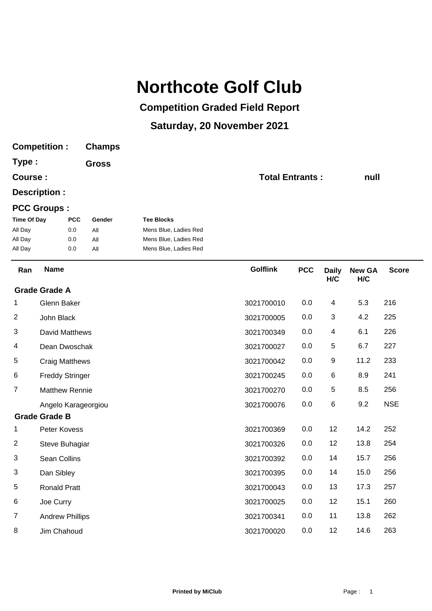## **Northcote Golf Club**

## **Competition Graded Field Report**

## **Saturday, 20 November 2021**

| <b>Competition:</b> |                        |            | <b>Champs</b> |                                                |                        |            |              |               |              |
|---------------------|------------------------|------------|---------------|------------------------------------------------|------------------------|------------|--------------|---------------|--------------|
| Type:<br>Course:    |                        |            | <b>Gross</b>  |                                                |                        |            |              |               |              |
|                     |                        |            |               |                                                | <b>Total Entrants:</b> | null       |              |               |              |
|                     | Description :          |            |               |                                                |                        |            |              |               |              |
|                     | <b>PCC Groups:</b>     |            |               |                                                |                        |            |              |               |              |
| <b>Time Of Day</b>  |                        | <b>PCC</b> | Gender        | <b>Tee Blocks</b>                              |                        |            |              |               |              |
| All Day             |                        | 0.0        | All           | Mens Blue, Ladies Red                          |                        |            |              |               |              |
| All Day<br>All Day  |                        | 0.0<br>0.0 | All<br>All    | Mens Blue, Ladies Red<br>Mens Blue, Ladies Red |                        |            |              |               |              |
| Ran                 | <b>Name</b>            |            |               |                                                | <b>Golflink</b>        | <b>PCC</b> | <b>Daily</b> | <b>New GA</b> | <b>Score</b> |
|                     | <b>Grade Grade A</b>   |            |               |                                                |                        |            | H/C          | H/C           |              |
| 1                   | Glenn Baker            |            |               |                                                | 3021700010             | 0.0        | 4            | 5.3           | 216          |
| 2                   | John Black             |            |               |                                                | 3021700005             | 0.0        | 3            | 4.2           | 225          |
| 3                   | <b>David Matthews</b>  |            |               |                                                | 3021700349             | 0.0        | 4            | 6.1           | 226          |
| 4                   | Dean Dwoschak          |            |               |                                                | 3021700027             | 0.0        | 5            | 6.7           | 227          |
| 5                   | <b>Craig Matthews</b>  |            |               |                                                | 3021700042             | 0.0        | 9            | 11.2          | 233          |
| 6                   | <b>Freddy Stringer</b> |            |               |                                                | 3021700245             | 0.0        | 6            | 8.9           | 241          |
| $\overline{7}$      | <b>Matthew Rennie</b>  |            |               |                                                | 3021700270             | 0.0        | 5            | 8.5           | 256          |
|                     | Angelo Karageorgiou    |            |               |                                                | 3021700076             | 0.0        | 6            | 9.2           | <b>NSE</b>   |
|                     | <b>Grade Grade B</b>   |            |               |                                                |                        |            |              |               |              |
| 1                   | Peter Kovess           |            |               |                                                | 3021700369             | 0.0        | 12           | 14.2          | 252          |
| $\overline{2}$      | Steve Buhagiar         |            |               |                                                | 3021700326             | 0.0        | 12           | 13.8          | 254          |
| 3                   | Sean Collins           |            |               |                                                | 3021700392             | 0.0        | 14           | 15.7          | 256          |
| 3                   | Dan Sibley             |            |               |                                                | 3021700395             | 0.0        | 14           | 15.0          | 256          |
| $\,$ 5 $\,$         | <b>Ronald Pratt</b>    |            |               |                                                | 3021700043             | 0.0        | 13           | 17.3          | 257          |
| 6                   | Joe Curry              |            |               |                                                | 3021700025             | 0.0        | 12           | 15.1          | 260          |
| $\overline{7}$      | <b>Andrew Phillips</b> |            |               |                                                | 3021700341             | 0.0        | 11           | 13.8          | 262          |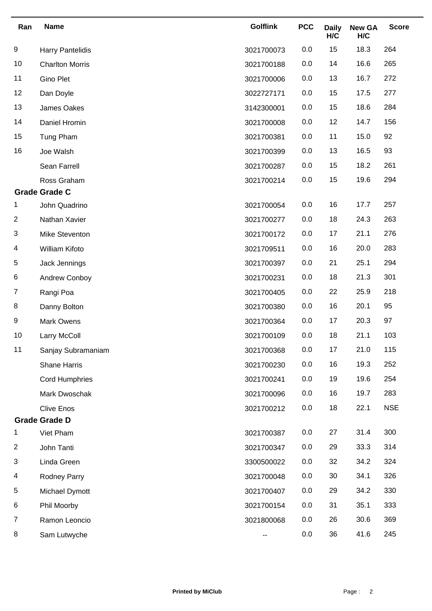| Ran                  | <b>Name</b>             | <b>Golflink</b> | <b>PCC</b> | <b>Daily</b><br>H/C | <b>New GA</b><br>H/C | <b>Score</b> |
|----------------------|-------------------------|-----------------|------------|---------------------|----------------------|--------------|
| 9                    | <b>Harry Pantelidis</b> | 3021700073      | 0.0        | 15                  | 18.3                 | 264          |
| 10                   | <b>Charlton Morris</b>  | 3021700188      | 0.0        | 14                  | 16.6                 | 265          |
| 11                   | Gino Plet               | 3021700006      | 0.0        | 13                  | 16.7                 | 272          |
| 12                   | Dan Doyle               | 3022727171      | 0.0        | 15                  | 17.5                 | 277          |
| 13                   | James Oakes             | 3142300001      | 0.0        | 15                  | 18.6                 | 284          |
| 14                   | Daniel Hromin           | 3021700008      | 0.0        | 12                  | 14.7                 | 156          |
| 15                   | Tung Pham               | 3021700381      | 0.0        | 11                  | 15.0                 | 92           |
| 16                   | Joe Walsh               | 3021700399      | 0.0        | 13                  | 16.5                 | 93           |
|                      | Sean Farrell            | 3021700287      | 0.0        | 15                  | 18.2                 | 261          |
|                      | Ross Graham             | 3021700214      | 0.0        | 15                  | 19.6                 | 294          |
| <b>Grade Grade C</b> |                         |                 |            |                     |                      |              |
| 1                    | John Quadrino           | 3021700054      | 0.0        | 16                  | 17.7                 | 257          |
| $\overline{c}$       | Nathan Xavier           | 3021700277      | 0.0        | 18                  | 24.3                 | 263          |
| 3                    | Mike Steventon          | 3021700172      | 0.0        | 17                  | 21.1                 | 276          |
| 4                    | William Kifoto          | 3021709511      | 0.0        | 16                  | 20.0                 | 283          |
| 5                    | Jack Jennings           | 3021700397      | 0.0        | 21                  | 25.1                 | 294          |
| 6                    | Andrew Conboy           | 3021700231      | 0.0        | 18                  | 21.3                 | 301          |
| $\overline{7}$       | Rangi Poa               | 3021700405      | 0.0        | 22                  | 25.9                 | 218          |
| 8                    | Danny Bolton            | 3021700380      | 0.0        | 16                  | 20.1                 | 95           |
| 9                    | Mark Owens              | 3021700364      | 0.0        | 17                  | 20.3                 | 97           |
| 10                   | Larry McColl            | 3021700109      | 0.0        | 18                  | 21.1                 | 103          |
| 11                   | Sanjay Subramaniam      | 3021700368      | 0.0        | 17                  | 21.0                 | 115          |
|                      | <b>Shane Harris</b>     | 3021700230      | 0.0        | 16                  | 19.3                 | 252          |
|                      | <b>Cord Humphries</b>   | 3021700241      | 0.0        | 19                  | 19.6                 | 254          |
|                      | Mark Dwoschak           | 3021700096      | 0.0        | 16                  | 19.7                 | 283          |
|                      | <b>Clive Enos</b>       | 3021700212      | 0.0        | 18                  | 22.1                 | <b>NSE</b>   |
| <b>Grade Grade D</b> |                         |                 |            |                     |                      |              |
| 1                    | Viet Pham               | 3021700387      | 0.0        | 27                  | 31.4                 | 300          |
| $\overline{2}$       | John Tanti              | 3021700347      | 0.0        | 29                  | 33.3                 | 314          |
| 3                    | Linda Green             | 3300500022      | 0.0        | 32                  | 34.2                 | 324          |
| 4                    | Rodney Parry            | 3021700048      | 0.0        | 30                  | 34.1                 | 326          |
| 5                    | Michael Dymott          | 3021700407      | 0.0        | 29                  | 34.2                 | 330          |
| 6                    | Phil Moorby             | 3021700154      | 0.0        | 31                  | 35.1                 | 333          |
| 7                    | Ramon Leoncio           | 3021800068      | 0.0        | 26                  | 30.6                 | 369          |
| 8                    | Sam Lutwyche            | --              | 0.0        | 36                  | 41.6                 | 245          |